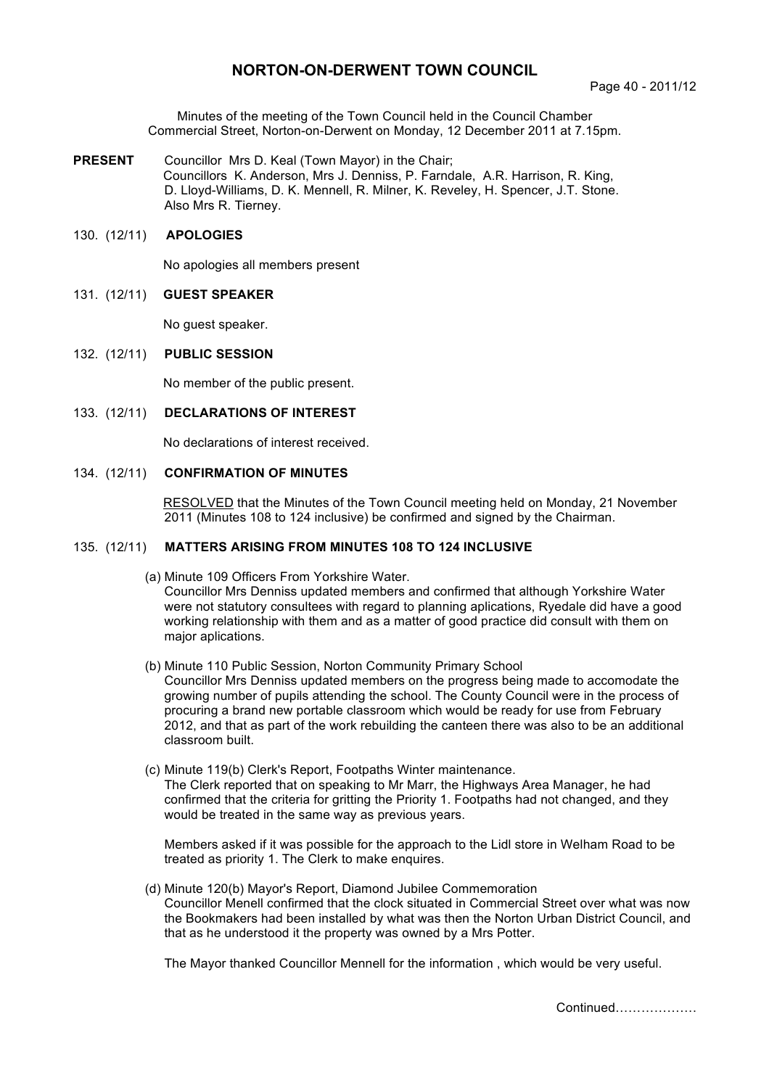# **NORTON-ON-DERWENT TOWN COUNCIL**

Minutes of the meeting of the Town Council held in the Council Chamber Commercial Street, Norton-on-Derwent on Monday, 12 December 2011 at 7.15pm.

**PRESENT** Councillor Mrs D. Keal (Town Mayor) in the Chair; Councillors K. Anderson, Mrs J. Denniss, P. Farndale, A.R. Harrison, R. King, D. Lloyd-Williams, D. K. Mennell, R. Milner, K. Reveley, H. Spencer, J.T. Stone. Also Mrs R. Tierney.

## 130. (12/11) **APOLOGIES**

No apologies all members present

## 131. (12/11) **GUEST SPEAKER**

No guest speaker.

#### 132. (12/11) **PUBLIC SESSION**

No member of the public present.

#### 133. (12/11) **DECLARATIONS OF INTEREST**

No declarations of interest received.

## 134. (12/11) **CONFIRMATION OF MINUTES**

 RESOLVED that the Minutes of the Town Council meeting held on Monday, 21 November 2011 (Minutes 108 to 124 inclusive) be confirmed and signed by the Chairman.

### 135. (12/11) **MATTERS ARISING FROM MINUTES 108 TO 124 INCLUSIVE**

(a) Minute 109 Officers From Yorkshire Water.

Councillor Mrs Denniss updated members and confirmed that although Yorkshire Water were not statutory consultees with regard to planning aplications, Ryedale did have a good working relationship with them and as a matter of good practice did consult with them on major aplications.

- (b) Minute 110 Public Session, Norton Community Primary School Councillor Mrs Denniss updated members on the progress being made to accomodate the growing number of pupils attending the school. The County Council were in the process of procuring a brand new portable classroom which would be ready for use from February 2012, and that as part of the work rebuilding the canteen there was also to be an additional classroom built.
- (c) Minute 119(b) Clerk's Report, Footpaths Winter maintenance. The Clerk reported that on speaking to Mr Marr, the Highways Area Manager, he had confirmed that the criteria for gritting the Priority 1. Footpaths had not changed, and they would be treated in the same way as previous years.

Members asked if it was possible for the approach to the Lidl store in Welham Road to be treated as priority 1. The Clerk to make enquires.

 (d) Minute 120(b) Mayor's Report, Diamond Jubilee Commemoration Councillor Menell confirmed that the clock situated in Commercial Street over what was now the Bookmakers had been installed by what was then the Norton Urban District Council, and that as he understood it the property was owned by a Mrs Potter.

The Mayor thanked Councillor Mennell for the information , which would be very useful.

Continued……………….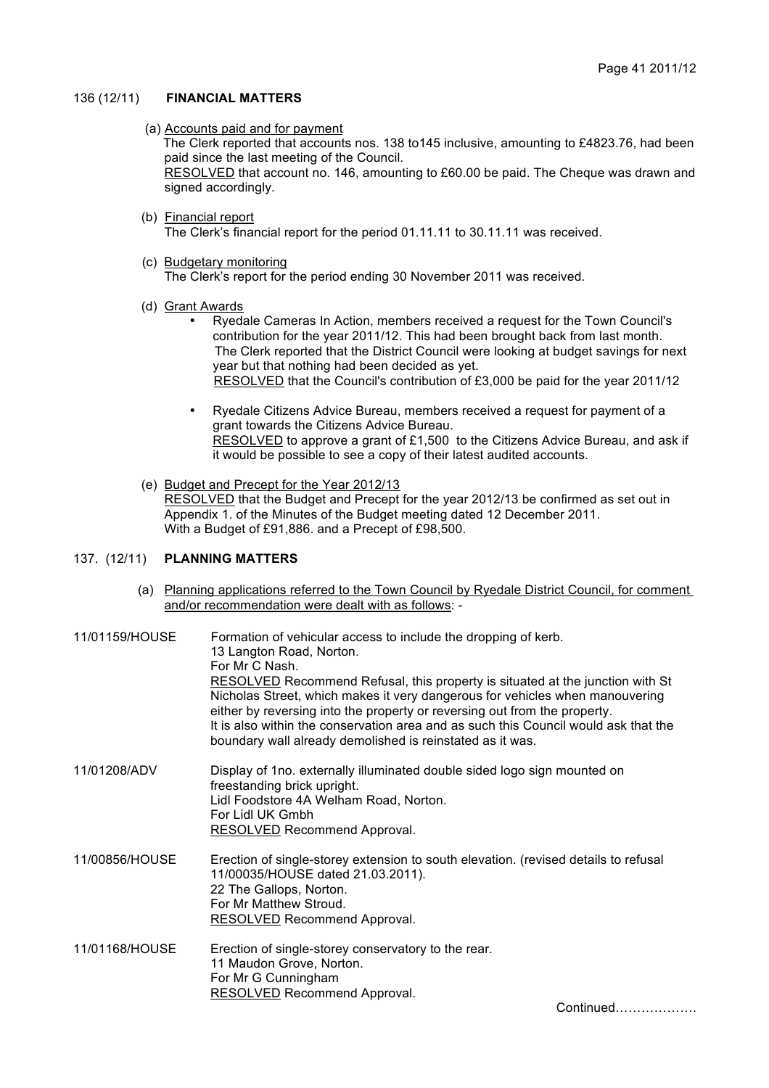## 136 (12/11) **FINANCIAL MATTERS**

(a) Accounts paid and for payment

The Clerk reported that accounts nos. 138 to145 inclusive, amounting to £4823.76, had been paid since the last meeting of the Council.

 RESOLVED that account no. 146, amounting to £60.00 be paid. The Cheque was drawn and signed accordingly.

(b) Financial report

The Clerk's financial report for the period 01.11.11 to 30.11.11 was received.

(c) Budgetary monitoring

The Clerk's report for the period ending 30 November 2011 was received.

- (d) Grant Awards
	- Ryedale Cameras In Action, members received a request for the Town Council's contribution for the year 2011/12. This had been brought back from last month. The Clerk reported that the District Council were looking at budget savings for next year but that nothing had been decided as yet. RESOLVED that the Council's contribution of £3,000 be paid for the year 2011/12
	- Ryedale Citizens Advice Bureau, members received a request for payment of a grant towards the Citizens Advice Bureau. RESOLVED to approve a grant of £1,500 to the Citizens Advice Bureau, and ask if it would be possible to see a copy of their latest audited accounts.
- (e) Budget and Precept for the Year 2012/13

RESOLVED that the Budget and Precept for the year 2012/13 be confirmed as set out in Appendix 1. of the Minutes of the Budget meeting dated 12 December 2011. With a Budget of £91,886. and a Precept of £98,500.

# 137. (12/11) **PLANNING MATTERS**

 (a) Planning applications referred to the Town Council by Ryedale District Council, for comment and/or recommendation were dealt with as follows: -

| 11/01159/HOUSE | Formation of vehicular access to include the dropping of kerb.<br>13 Langton Road, Norton.<br>For Mr C Nash.<br><b>RESOLVED</b> Recommend Refusal, this property is situated at the junction with St<br>Nicholas Street, which makes it very dangerous for vehicles when manouvering<br>either by reversing into the property or reversing out from the property.<br>It is also within the conservation area and as such this Council would ask that the<br>boundary wall already demolished is reinstated as it was. |
|----------------|-----------------------------------------------------------------------------------------------------------------------------------------------------------------------------------------------------------------------------------------------------------------------------------------------------------------------------------------------------------------------------------------------------------------------------------------------------------------------------------------------------------------------|
| 11/01208/ADV   | Display of 1no. externally illuminated double sided logo sign mounted on<br>freestanding brick upright.<br>Lidl Foodstore 4A Welham Road, Norton.<br>For Lidl UK Gmbh<br>RESOLVED Recommend Approval.                                                                                                                                                                                                                                                                                                                 |
| 11/00856/HOUSE | Erection of single-storey extension to south elevation. (revised details to refusal<br>11/00035/HOUSE dated 21.03.2011).<br>22 The Gallops, Norton.<br>For Mr Matthew Stroud.<br><b>RESOLVED</b> Recommend Approval.                                                                                                                                                                                                                                                                                                  |
| 11/01168/HOUSE | Erection of single-storey conservatory to the rear.<br>11 Maudon Grove, Norton.<br>For Mr G Cunningham<br><b>RESOLVED</b> Recommend Approval.                                                                                                                                                                                                                                                                                                                                                                         |

Continued……………….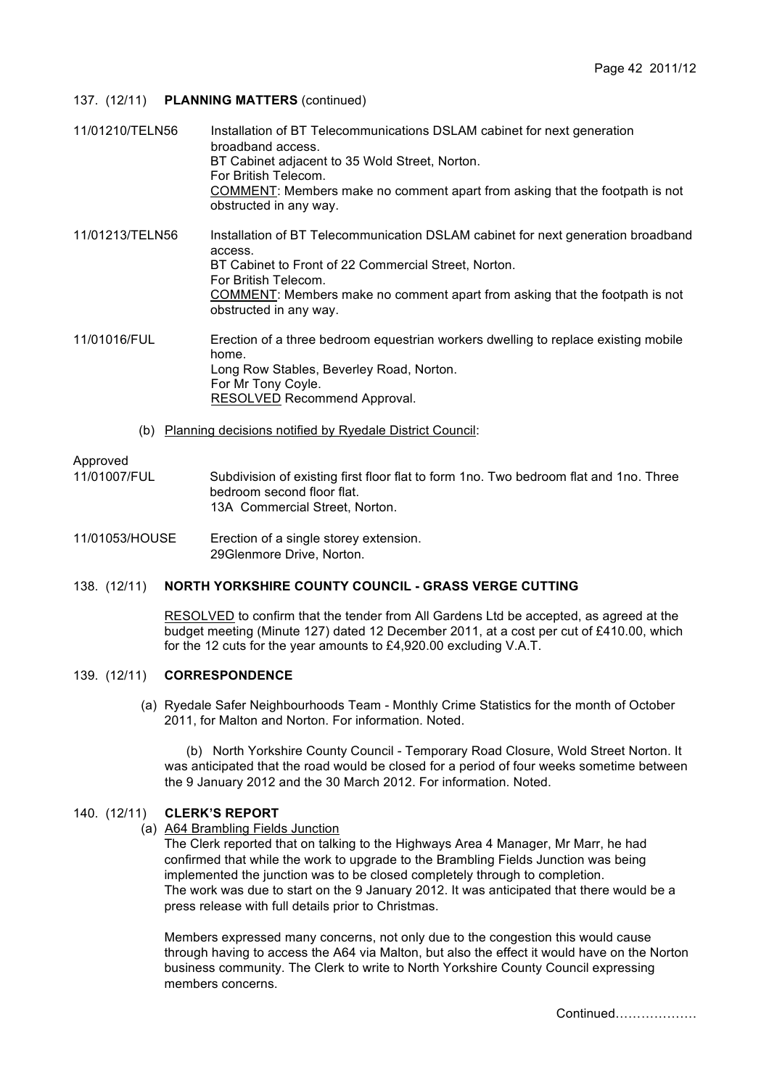## 137. (12/11) **PLANNING MATTERS** (continued)

- 11/01210/TELN56 Installation of BT Telecommunications DSLAM cabinet for next generation broadband access. BT Cabinet adjacent to 35 Wold Street, Norton. For British Telecom. COMMENT: Members make no comment apart from asking that the footpath is not obstructed in any way. 11/01213/TELN56 Installation of BT Telecommunication DSLAM cabinet for next generation broadband access. BT Cabinet to Front of 22 Commercial Street, Norton. For British Telecom. COMMENT: Members make no comment apart from asking that the footpath is not obstructed in any way. 11/01016/FUL Erection of a three bedroom equestrian workers dwelling to replace existing mobile home. Long Row Stables, Beverley Road, Norton. For Mr Tony Coyle. RESOLVED Recommend Approval.
	- (b) Planning decisions notified by Ryedale District Council:

## Approved

- 11/01007/FUL Subdivision of existing first floor flat to form 1no. Two bedroom flat and 1no. Three bedroom second floor flat. 13A Commercial Street, Norton.
- 11/01053/HOUSE Erection of a single storey extension. 29Glenmore Drive, Norton.

## 138. (12/11) **NORTH YORKSHIRE COUNTY COUNCIL - GRASS VERGE CUTTING**

 RESOLVED to confirm that the tender from All Gardens Ltd be accepted, as agreed at the budget meeting (Minute 127) dated 12 December 2011, at a cost per cut of £410.00, which for the 12 cuts for the year amounts to £4,920.00 excluding V.A.T.

## 139. (12/11) **CORRESPONDENCE**

 (a) Ryedale Safer Neighbourhoods Team - Monthly Crime Statistics for the month of October 2011, for Malton and Norton. For information. Noted.

 (b) North Yorkshire County Council - Temporary Road Closure, Wold Street Norton. It was anticipated that the road would be closed for a period of four weeks sometime between the 9 January 2012 and the 30 March 2012. For information. Noted.

## 140. (12/11) **CLERK'S REPORT**

(a) A64 Brambling Fields Junction

 The Clerk reported that on talking to the Highways Area 4 Manager, Mr Marr, he had confirmed that while the work to upgrade to the Brambling Fields Junction was being implemented the junction was to be closed completely through to completion. The work was due to start on the 9 January 2012. It was anticipated that there would be a press release with full details prior to Christmas.

Members expressed many concerns, not only due to the congestion this would cause through having to access the A64 via Malton, but also the effect it would have on the Norton business community. The Clerk to write to North Yorkshire County Council expressing members concerns.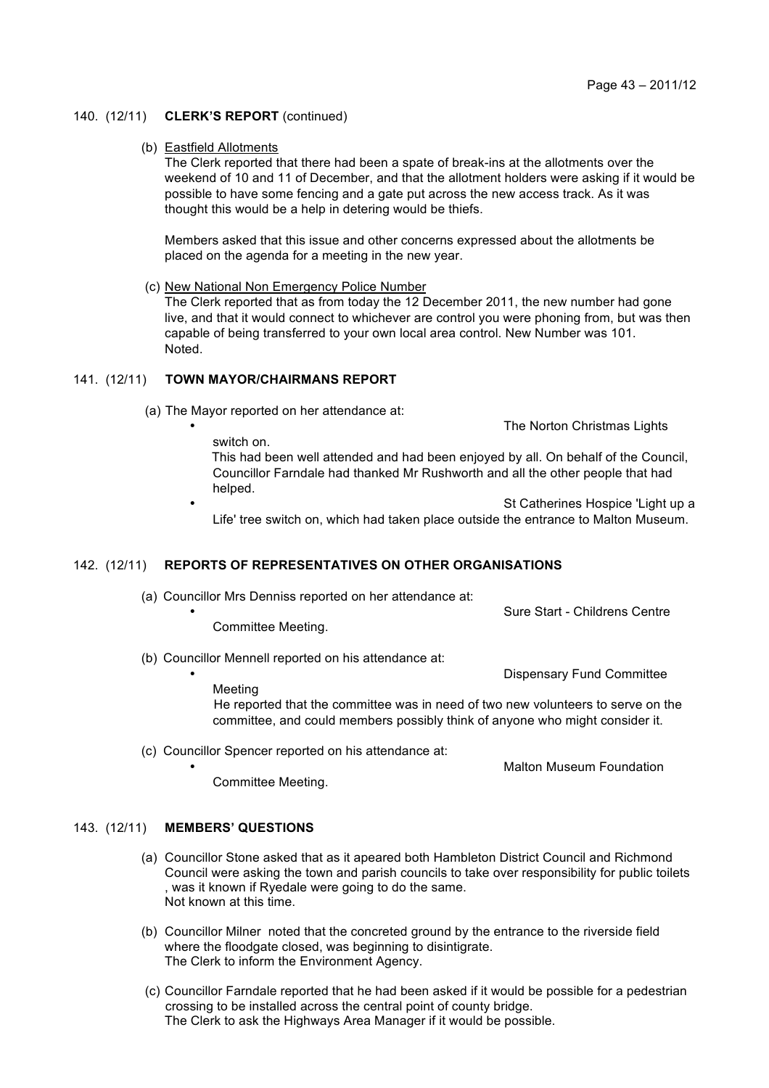### 140. (12/11) **CLERK'S REPORT** (continued)

#### (b) Eastfield Allotments

The Clerk reported that there had been a spate of break-ins at the allotments over the weekend of 10 and 11 of December, and that the allotment holders were asking if it would be possible to have some fencing and a gate put across the new access track. As it was thought this would be a help in detering would be thiefs.

Members asked that this issue and other concerns expressed about the allotments be placed on the agenda for a meeting in the new year.

(c) New National Non Emergency Police Number

The Clerk reported that as from today the 12 December 2011, the new number had gone live, and that it would connect to whichever are control you were phoning from, but was then capable of being transferred to your own local area control. New Number was 101. Noted.

### 141. (12/11) **TOWN MAYOR/CHAIRMANS REPORT**

switch on.

(a) The Mayor reported on her attendance at:

The Norton Christmas Lights

This had been well attended and had been enjoyed by all. On behalf of the Council, Councillor Farndale had thanked Mr Rushworth and all the other people that had helped.

St Catherines Hospice 'Light up a Life' tree switch on, which had taken place outside the entrance to Malton Museum.

### 142. (12/11) **REPORTS OF REPRESENTATIVES ON OTHER ORGANISATIONS**

(a) Councillor Mrs Denniss reported on her attendance at:

- Committee Meeting.
- (b) Councillor Mennell reported on his attendance at:

• Dispensary Fund Committee

• Malton Museum Foundation

• Sure Start - Childrens Centre

Meeting

He reported that the committee was in need of two new volunteers to serve on the committee, and could members possibly think of anyone who might consider it.

(c) Councillor Spencer reported on his attendance at:

Committee Meeting.

# 143. (12/11) **MEMBERS' QUESTIONS**

- (a) Councillor Stone asked that as it apeared both Hambleton District Council and Richmond Council were asking the town and parish councils to take over responsibility for public toilets , was it known if Ryedale were going to do the same. Not known at this time.
- (b) Councillor Milner noted that the concreted ground by the entrance to the riverside field where the floodgate closed, was beginning to disintigrate. The Clerk to inform the Environment Agency.
- (c) Councillor Farndale reported that he had been asked if it would be possible for a pedestrian crossing to be installed across the central point of county bridge. The Clerk to ask the Highways Area Manager if it would be possible.